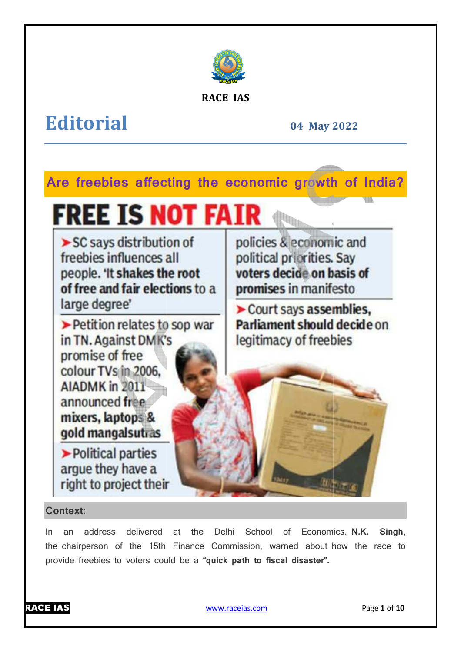

### **RACE IAS**

## **Editorial**

**04 May 2022**

### **Are freebies affecting the economic growth of India?**

# **FREE IS NOT FAIR**

 $\triangleright$  SC says distribution of freebies influences all people. 'It shakes the root of free and fair elections to a large degree'

> Petition relates to sop war in TN. Against DM K's promise of free colour TVs in 2006. **AIADMK** in 2011 announced free mixers, laptops & gold mangalsutras

Political parties arque they have a right to project their

policies & economic and political priorities. Say voters decide on basis of promises in manifesto

 $\triangleright$  Court says assemblies. Parliament should decide on legitimacy of freebies

### **Context:**

In an address delivered at the Delhi School of Economics N.K. the chairperson of the 15th Finance Commission, warned about how the race to provide freebies to voters could be a **"quick path to fiscal disaster".** Singh,



www.raceias.com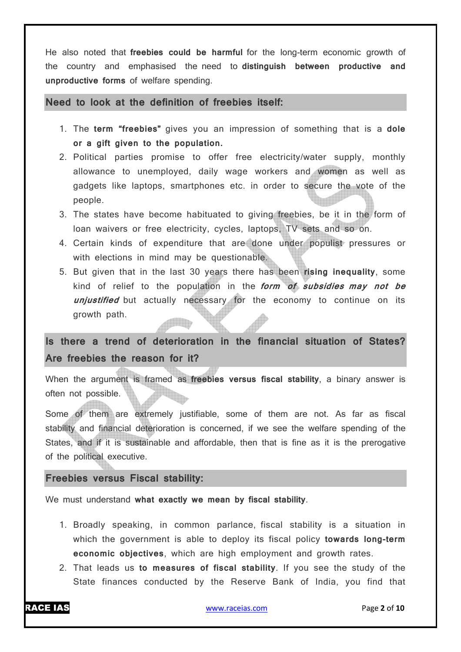He also noted that **freebies could be harmful** for the long-term economic growth of the country and emphasised the need to **distinguish between productive and unproductive forms** of welfare spending.

**Need to look at the definition of freebies itself:**

- 1. The **term "freebies"** gives you an impression of something that is a **dole or a gift given to the population.**
- 2. Political parties promise to offer free electricity/water supply, monthly allowance to unemployed, daily wage workers and women as well as gadgets like laptops, smartphones etc. in order to secure the vote of the people.
- 3. The states have become habituated to giving freebies, be it in the form of loan waivers or free electricity, cycles, laptops, TV sets and so on.
- 4. Certain kinds of expenditure that are done under populist pressures or with elections in mind may be questionable.
- 5. But given that in the last 30 years there has been **rising inequality**, some kind of relief to the population in the **form of subsidies may not be unjustified** but actually necessary for the economy to continue on its growth path.

**Is there a trend of deterioration in the financial situation of States? Are freebies the reason for it?**

When the argument is framed as **freebies versus fiscal stability**, a binary answer is often not possible.

Some of them are extremely justifiable, some of them are not. As far as fiscal stability and financial deterioration is concerned, if we see the welfare spending of the States, and if it is sustainable and affordable, then that is fine as it is the prerogative of the political executive.

### **Freebies versus Fiscal stability:**

We must understand **what exactly we mean by fiscal stability**.

- 1. Broadly speaking, in common parlance, fiscal stability is a situation in which the government is able to deploy its fiscal policy **towards long-term economic objectives**, which are high employment and growth rates.
- 2. That leads us **to measures of fiscal stability**. If you see the study of the State finances conducted by the Reserve Bank of India, you find that

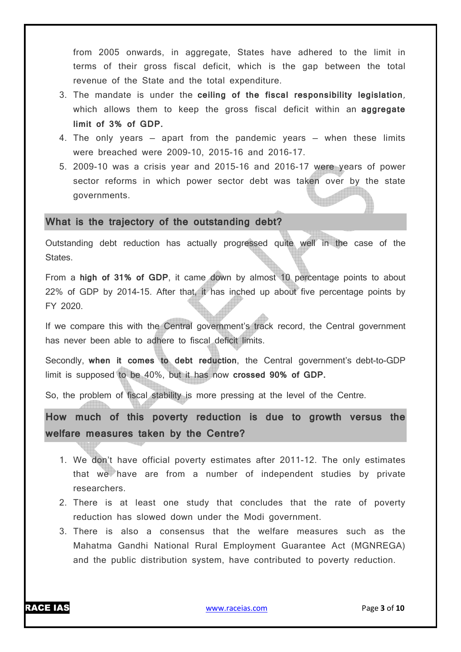from 2005 onwards, in aggregate, States have adhered to the limit in terms of their gross fiscal deficit, which is the gap between the total revenue of the State and the total expenditure.

- 3. The mandate is under the **ceiling of the fiscal responsibility legislation**, which allows them to keep the gross fiscal deficit within an **aggregate limit of 3% of GDP.**
- 4. The only years  $-$  apart from the pandemic years  $-$  when these limits were breached were 2009-10, 2015-16 and 2016-17.
- 5. 2009-10 was a crisis year and 2015-16 and 2016-17 were years of power sector reforms in which power sector debt was taken over by the state governments.

#### **What is the trajectory of the outstanding debt?**

Outstanding debt reduction has actually progressed quite well in the case of the States.

From a **high of 31% of GDP**, it came down by almost 10 percentage points to about 22% of GDP by 2014-15. After that, it has inched up about five percentage points by FY 2020.

If we compare this with the Central government's track record, the Central government has never been able to adhere to fiscal deficit limits.

Secondly, **when it comes to debt reduction**, the Central government's debt-to-GDP limit is supposed to be 40%, but it has now **crossed 90% of GDP.**

So, the problem of fiscal stability is more pressing at the level of the Centre.

**How much of this poverty reduction is due to growth versus the welfare measures taken by the Centre?**

- 1. We don't have official poverty estimates after 2011-12. The only estimates that we have are from a number of independent studies by private researchers.
- 2. There is at least one study that concludes that the rate of poverty reduction has slowed down under the Modi government.
- 3. There is also a consensus that the welfare measures such as the Mahatma Gandhi National Rural Employment Guarantee Act (MGNREGA) and the public distribution system, have contributed to poverty reduction.

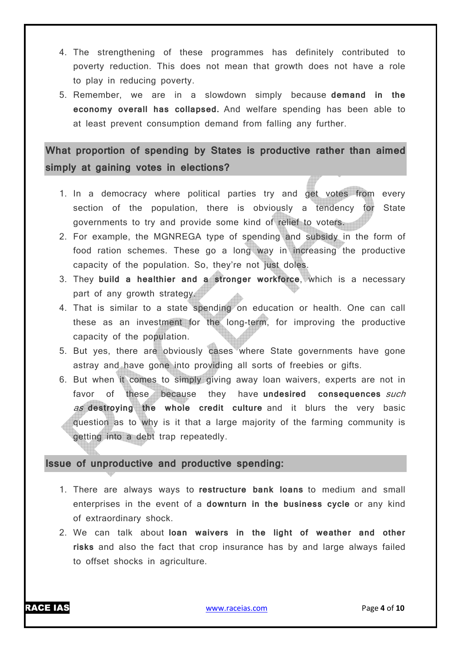- 4. The strengthening of these programmes has definitely contributed to poverty reduction. This does not mean that growth does not have a role to play in reducing poverty.
- 5. Remember, we are in a slowdown simply because **demand in the economy overall has collapsed.** And welfare spending has been able to at least prevent consumption demand from falling any further.

**What proportion of spending by States is productive rather than aimed simply at gaining votes in elections?**

- 1. In a democracy where political parties try and get votes from every section of the population, there is obviously a tendency for State governments to try and provide some kind of relief to voters.
- 2. For example, the MGNREGA type of spending and subsidy in the form of food ration schemes. These go a long way in increasing the productive capacity of the population. So, they're not just doles.
- 3. They **build a healthier and a stronger workforce**, which is a necessary part of any growth strategy.
- 4. That is similar to a state spending on education or health. One can call these as an investment for the long-term, for improving the productive capacity of the population.
- 5. But yes, there are obviously cases where State governments have gone astray and have gone into providing all sorts of freebies or gifts.
- 6. But when it comes to simply giving away loan waivers, experts are not in favor of these because they have **undesired consequences** such as **destroying the whole credit culture** and it blurs the very basic question as to why is it that a large majority of the farming community is getting into a debt trap repeatedly.

### **Issue of unproductive and productive spending:**

- 1. There are always ways to **restructure bank loans** to medium and small enterprises in the event of a **downturn in the business cycle** or any kind of extraordinary shock.
- 2. We can talk about **loan waivers in the light of weather and other risks** and also the fact that crop insurance has by and large always failed to offset shocks in agriculture.

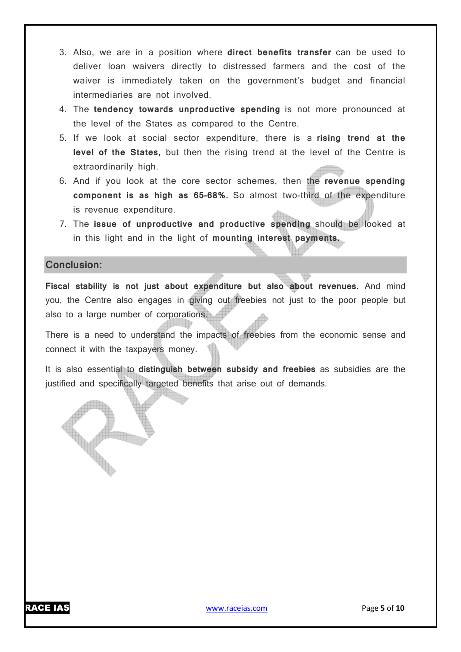- 3. Also, we are in a position where **direct benefits transfer** can be used to deliver loan waivers directly to distressed farmers and the cost of the waiver is immediately taken on the government's budget and financial intermediaries are not involved.
- 4. The **tendency towards unproductive spending** is not more pronounced at the level of the States as compared to the Centre.
- 5. If we look at social sector expenditure, there is a **rising trend at the level of the States,** but then the rising trend at the level of the Centre is extraordinarily high.
- 6. And if you look at the core sector schemes, then the **revenue spending component is as high as 65-68%.** So almost two-third of the expenditure is revenue expenditure.
- 7. The **issue of unproductive and productive spending** should be looked at in this light and in the light of **mounting interest payments.**

### **Conclusion:**

**Fiscal stability is not just about expenditure but also about revenues**. And mind you, the Centre also engages in giving out freebies not just to the poor people but also to a large number of corporations.

There is a need to understand the impacts of freebies from the economic sense and connect it with the taxpayers money.

It is also essential to **distinguish between subsidy and freebies** as subsidies are the justified and specifically targeted benefits that arise out of demands.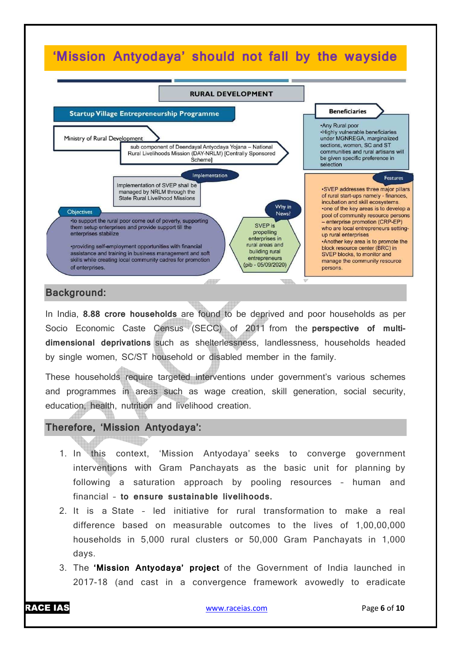### **'Mission Antyodaya' should not fall by the wayside**



### **Background:**

In India, **8.88 crore households** are found to be deprived and poor households as per Socio Economic Caste Census (SECC) of 2011 from the **perspective of multidimensional deprivations** such as shelterlessness, landlessness, households headed by single women, SC/ST household or disabled member in the family.

These households require targeted interventions under government's various schemes and programmes in areas such as wage creation, skill generation, social security, education, health, nutrition and livelihood creation.

### **Therefore, 'Mission Antyodaya':**

- 1. In this context, 'Mission Antyodaya' seeks to converge government interventions with Gram Panchayats as the basic unit for planning by following a saturation approach by pooling resources – human and financial – **to ensure sustainable livelihoods.**
- 2. It is a State led initiative for rural transformation to make a real difference based on measurable outcomes to the lives of 1,00,00,000 households in 5,000 rural clusters or 50,000 Gram Panchayats in 1,000 days.
- 3. The **'Mission Antyodaya' project** of the Government of India launched in 2017-18 (and cast in a convergence framework avowedly to eradicate

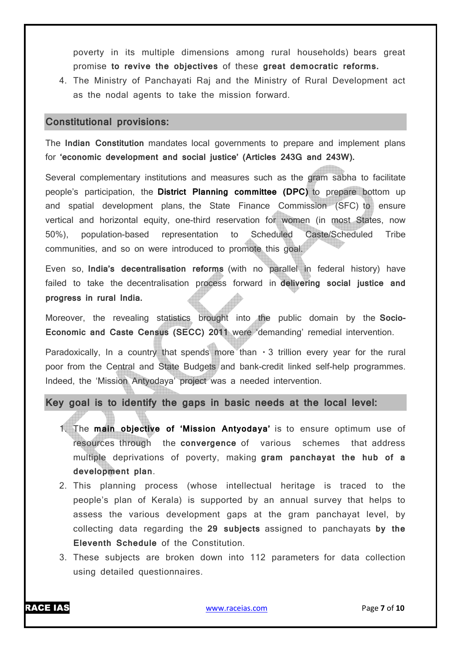poverty in its multiple dimensions among rural households) bears great promise **to revive the objectives** of these **great democratic reforms.**

4. The Ministry of Panchayati Raj and the Ministry of Rural Development act as the nodal agents to take the mission forward.

### **Constitutional provisions:**

The **Indian Constitution** mandates local governments to prepare and implement plans for **'economic development and social justice' (Articles 243G and 243W).**

Several complementary institutions and measures such as the gram sabha to facilitate people's participation, the **District Planning committee (DPC)** to prepare bottom up and spatial development plans, the State Finance Commission (SFC) to ensure vertical and horizontal equity, one-third reservation for women (in most States, now 50%), population-based representation to Scheduled Caste/Scheduled Tribe communities, and so on were introduced to promote this goal.

Even so, **India's decentralisation reforms** (with no parallel in federal history) have failed to take the decentralisation process forward in **delivering social justice and progress in rural India.**

Moreover, the revealing statistics brought into the public domain by the **Socio-Economic and Caste Census (SECC) 2011** were 'demanding' remedial intervention.

Paradoxically, In a country that spends more than  $\cdot$  3 trillion every year for the rural poor from the Central and State Budgets and bank-credit linked self-help programmes. Indeed, the 'Mission Antyodaya' project was a needed intervention.

**Key goal is to identify the gaps in basic needs at the local level:**

- 1. The **main objective of 'Mission Antyodaya'** is to ensure optimum use of resources through the **convergence** of various schemes that address multiple deprivations of poverty, making **gram panchayat the hub of a development plan**.
- 2. This planning process (whose intellectual heritage is traced to the people's plan of Kerala) is supported by an annual survey that helps to assess the various development gaps at the gram panchayat level, by collecting data regarding the **29 subjects** assigned to panchayats **by the Eleventh Schedule** of the Constitution.
- 3. These subjects are broken down into 112 parameters for data collection using detailed questionnaires.

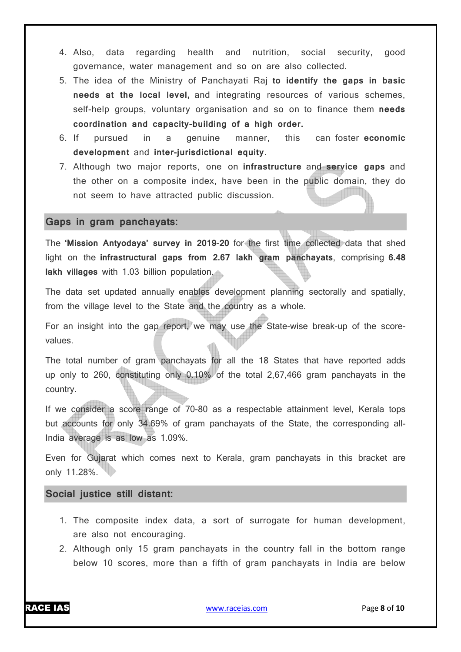- 4. Also, data regarding health and nutrition, social security, good governance, water management and so on are also collected.
- 5. The idea of the Ministry of Panchayati Raj **to identify the gaps in basic needs at the local level,** and integrating resources of various schemes, self-help groups, voluntary organisation and so on to finance them **needs coordination and capacity-building of a high order.**
- 6. If pursued in a genuine manner, this can foster **economic development** and **inter-jurisdictional equity**.
- 7. Although two major reports, one on **infrastructure** and **service gaps** and the other on a composite index, have been in the public domain, they do not seem to have attracted public discussion.

#### **Gaps in gram panchayats:**

The **'Mission Antyodaya' survey in 2019-20** for the first time collected data that shed light on the **infrastructural gaps from 2.67 lakh gram panchayats**, comprising **6.48 lakh villages** with 1.03 billion population.

The data set updated annually enables development planning sectorally and spatially, from the village level to the State and the country as a whole.

For an insight into the gap report, we may use the State-wise break-up of the scorevalues.

The total number of gram panchayats for all the 18 States that have reported adds up only to 260, constituting only 0.10% of the total 2,67,466 gram panchayats in the country.

If we consider a score range of 70-80 as a respectable attainment level, Kerala tops but accounts for only 34.69% of gram panchayats of the State, the corresponding all-India average is as low as 1.09%.

Even for Gujarat which comes next to Kerala, gram panchayats in this bracket are only 11.28%.

### **Social justice still distant:**

- 1. The composite index data, a sort of surrogate for human development, are also not encouraging.
- 2. Although only 15 gram panchayats in the country fall in the bottom range below 10 scores, more than a fifth of gram panchayats in India are below

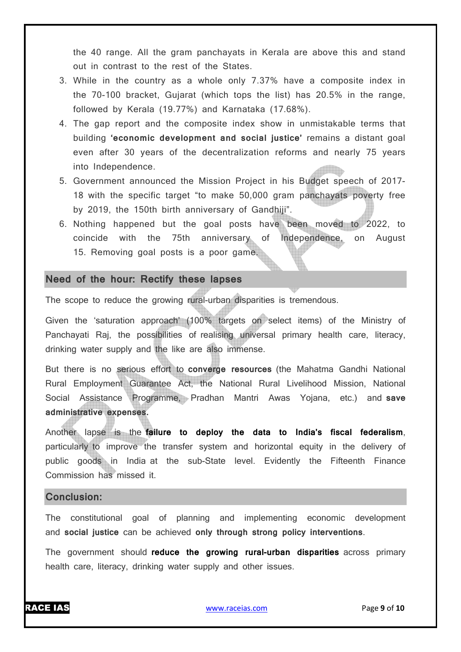the 40 range. All the gram panchayats in Kerala are above this and stand out in contrast to the rest of the States.

- 3. While in the country as a whole only 7.37% have a composite index in the 70-100 bracket, Gujarat (which tops the list) has 20.5% in the range, followed by Kerala (19.77%) and Karnataka (17.68%).
- 4. The gap report and the composite index show in unmistakable terms that building **'economic development and social justice'** remains a distant goal even after 30 years of the decentralization reforms and nearly 75 years into Independence.
- 5. Government announced the Mission Project in his Budget speech of 2017- 18 with the specific target "to make 50,000 gram panchayats poverty free by 2019, the 150th birth anniversary of Gandhiji".
- 6. Nothing happened but the goal posts have been moved to 2022, to coincide with the 75th anniversary of Independence, on August 15. Removing goal posts is a poor game.

### **Need of the hour: Rectify these lapses**

The scope to reduce the growing rural-urban disparities is tremendous.

Given the 'saturation approach' (100% targets on select items) of the Ministry of Panchayati Raj, the possibilities of realising universal primary health care, literacy, drinking water supply and the like are also immense.

But there is no serious effort to **converge resources** (the Mahatma Gandhi National Rural Employment Guarantee Act, the National Rural Livelihood Mission, National Social Assistance Programme, Pradhan Mantri Awas Yojana, etc.) and **save administrative expenses.**

Another lapse is the **failure to deploy the data to India's fiscal federalism**, particularly to improve the transfer system and horizontal equity in the delivery of public goods in India at the sub-State level. Evidently the Fifteenth Finance Commission has missed it.

### **Conclusion:**

The constitutional goal of planning and implementing economic development and **social justice** can be achieved **only through strong policy interventions**.

The government should **reduce the growing rural-urban disparities** across primary health care, literacy, drinking water supply and other issues.